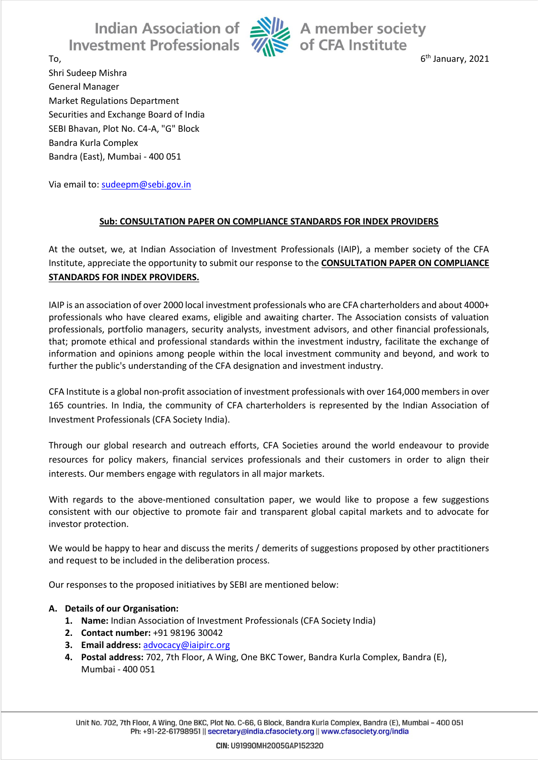Indian Association of Ally A member society<br>estment Professionals **Ally** of CFA Institute **Investment Professionals** 



6<sup>th</sup> January, 2021

 $\overline{\phantom{a}}$  6 Shri Sudeep Mishra General Manager Market Regulations Department Securities and Exchange Board of India SEBI Bhavan, Plot No. C4-A, "G" Block Bandra Kurla Complex Bandra (East), Mumbai - 400 051

Via email to: [sudeepm@sebi.gov.in](mailto:sudeepm@sebi.gov.in)

## **Sub: CONSULTATION PAPER ON COMPLIANCE STANDARDS FOR INDEX PROVIDERS**

At the outset, we, at Indian Association of Investment Professionals (IAIP), a member society of the CFA Institute, appreciate the opportunity to submit our response to the **CONSULTATION PAPER ON COMPLIANCE STANDARDS FOR INDEX PROVIDERS.**

IAIP is an association of over 2000 local investment professionals who are CFA charterholders and about 4000+ professionals who have cleared exams, eligible and awaiting charter. The Association consists of valuation professionals, portfolio managers, security analysts, investment advisors, and other financial professionals, that; promote ethical and professional standards within the investment industry, facilitate the exchange of information and opinions among people within the local investment community and beyond, and work to further the public's understanding of the CFA designation and investment industry.

CFA Institute is a global non-profit association of investment professionals with over 164,000 members in over 165 countries. In India, the community of CFA charterholders is represented by the Indian Association of Investment Professionals (CFA Society India).

Through our global research and outreach efforts, CFA Societies around the world endeavour to provide resources for policy makers, financial services professionals and their customers in order to align their interests. Our members engage with regulators in all major markets.

With regards to the above-mentioned consultation paper, we would like to propose a few suggestions consistent with our objective to promote fair and transparent global capital markets and to advocate for investor protection.

We would be happy to hear and discuss the merits / demerits of suggestions proposed by other practitioners and request to be included in the deliberation process.

Our responses to the proposed initiatives by SEBI are mentioned below:

## **A. Details of our Organisation:**

- **1. Name:** Indian Association of Investment Professionals (CFA Society India)
- **2. Contact number:** +91 98196 30042
- **3. Email address:** [advocacy@iaipirc.org](mailto:advocacy@iaipirc.org)
- **4. Postal address:** 702, 7th Floor, A Wing, One BKC Tower, Bandra Kurla Complex, Bandra (E), Mumbai - 400 051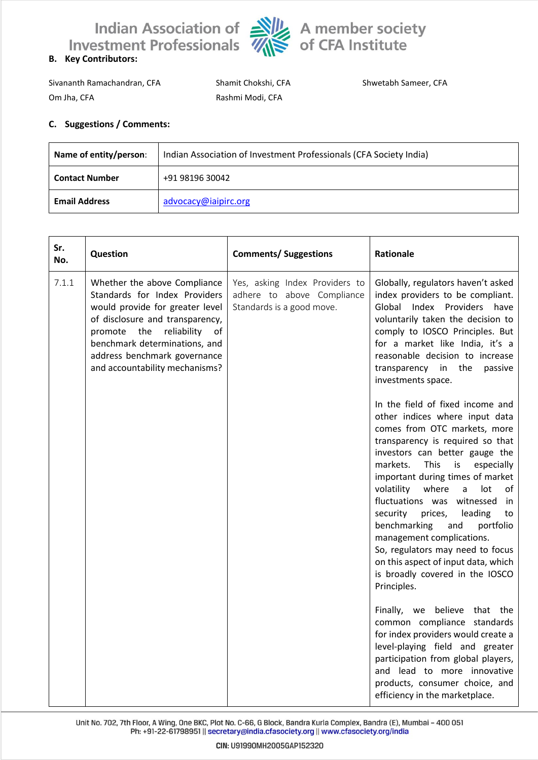

Sivananth Ramachandran, CFA Shamit Chokshi, CFA Shwetabh Sameer, CFA Om Jha, CFA Rashmi Modi, CFA

## **C. Suggestions / Comments:**

| Name of entity/person: | Indian Association of Investment Professionals (CFA Society India) |  |
|------------------------|--------------------------------------------------------------------|--|
| <b>Contact Number</b>  | +91 98196 30042                                                    |  |
| <b>Email Address</b>   | advocacy@iaipirc.org                                               |  |

| Sr.<br>No. | Question                                                                                                                                                                                                                                                                      | <b>Comments/ Suggestions</b>                                                              | <b>Rationale</b>                                                                                                                                                                                                                                                                                                                                                                                                                                                                                                                                                                                                                                                                                                                                                                                                                                                                                                                                                                                                                                                                                              |
|------------|-------------------------------------------------------------------------------------------------------------------------------------------------------------------------------------------------------------------------------------------------------------------------------|-------------------------------------------------------------------------------------------|---------------------------------------------------------------------------------------------------------------------------------------------------------------------------------------------------------------------------------------------------------------------------------------------------------------------------------------------------------------------------------------------------------------------------------------------------------------------------------------------------------------------------------------------------------------------------------------------------------------------------------------------------------------------------------------------------------------------------------------------------------------------------------------------------------------------------------------------------------------------------------------------------------------------------------------------------------------------------------------------------------------------------------------------------------------------------------------------------------------|
| 7.1.1      | Whether the above Compliance<br>Standards for Index Providers<br>would provide for greater level<br>of disclosure and transparency,<br>promote<br>the<br>reliability<br>of<br>benchmark determinations, and<br>address benchmark governance<br>and accountability mechanisms? | Yes, asking Index Providers to<br>adhere to above Compliance<br>Standards is a good move. | Globally, regulators haven't asked<br>index providers to be compliant.<br>Global Index Providers<br>have<br>voluntarily taken the decision to<br>comply to IOSCO Principles. But<br>for a market like India, it's a<br>reasonable decision to increase<br>transparency in the<br>passive<br>investments space.<br>In the field of fixed income and<br>other indices where input data<br>comes from OTC markets, more<br>transparency is required so that<br>investors can better gauge the<br>markets.<br><b>This</b><br>especially<br>is<br>important during times of market<br>volatility<br>where<br>lot<br>a<br>οf<br>fluctuations was witnessed<br>in<br>security<br>leading<br>prices,<br>to<br>benchmarking<br>portfolio<br>and<br>management complications.<br>So, regulators may need to focus<br>on this aspect of input data, which<br>is broadly covered in the IOSCO<br>Principles.<br>Finally, we believe that the<br>common compliance standards<br>for index providers would create a<br>level-playing field and greater<br>participation from global players,<br>and lead to more innovative |
|            |                                                                                                                                                                                                                                                                               |                                                                                           | products, consumer choice, and<br>efficiency in the marketplace.                                                                                                                                                                                                                                                                                                                                                                                                                                                                                                                                                                                                                                                                                                                                                                                                                                                                                                                                                                                                                                              |

Unit No. 702, 7th Floor, A Wing, One BKC, Plot No. C-66, G Block, Bandra Kurla Complex, Bandra (E), Mumbai - 400 051 Ph: +91-22-61798951 || secretary@india.cfasociety.org || www.cfasociety.org/india